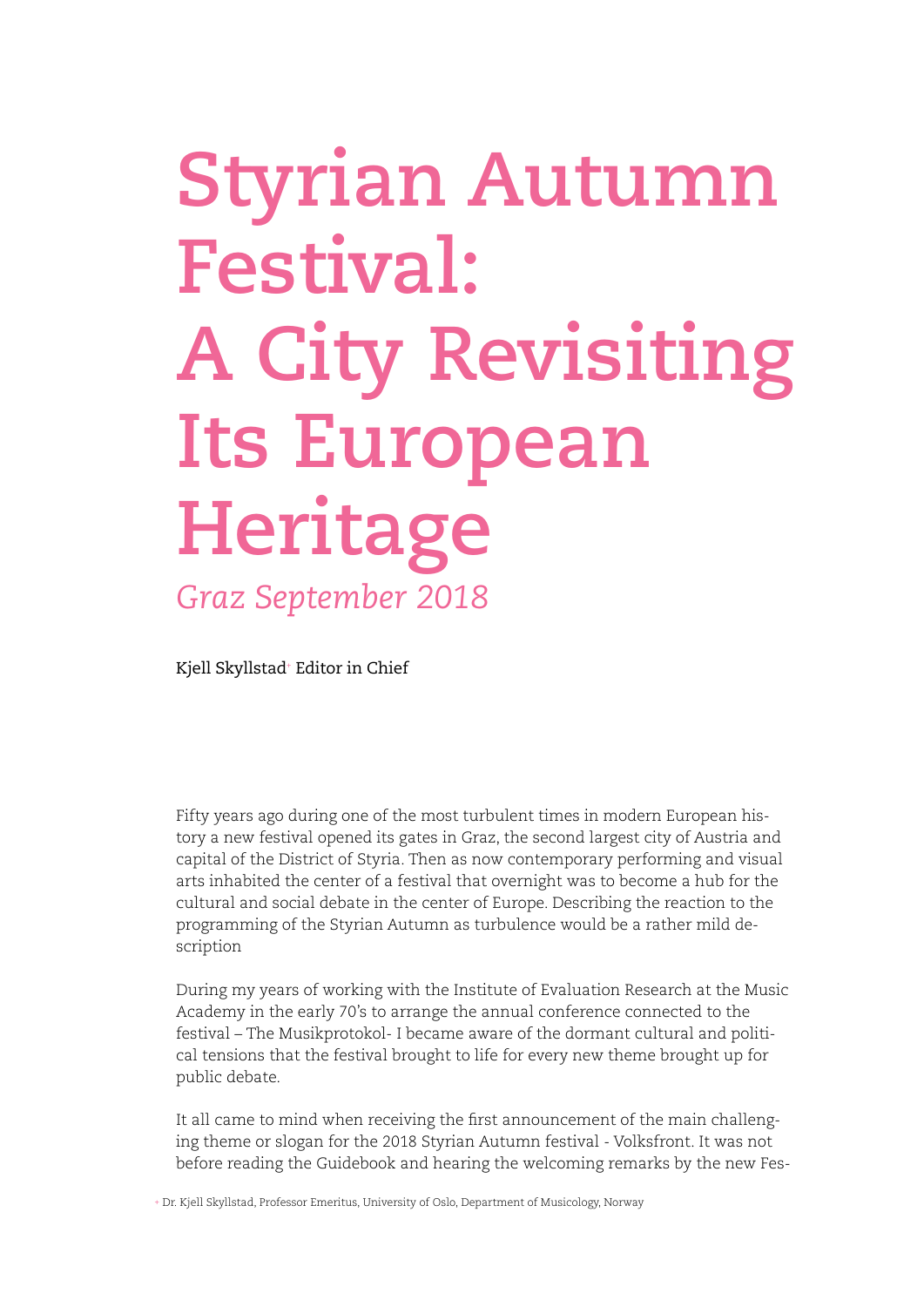## **Styrian Autumn Festival: A City Revisiting Its European Heritage** *Graz September 2018*

Kjell Skyllstad+ Editor in Chief

Fifty years ago during one of the most turbulent times in modern European history a new festival opened its gates in Graz, the second largest city of Austria and capital of the District of Styria. Then as now contemporary performing and visual arts inhabited the center of a festival that overnight was to become a hub for the cultural and social debate in the center of Europe. Describing the reaction to the programming of the Styrian Autumn as turbulence would be a rather mild description

During my years of working with the Institute of Evaluation Research at the Music Academy in the early 70's to arrange the annual conference connected to the festival – The Musikprotokol- I became aware of the dormant cultural and political tensions that the festival brought to life for every new theme brought up for public debate.

It all came to mind when receiving the first announcement of the main challenging theme or slogan for the 2018 Styrian Autumn festival - Volksfront. It was not before reading the Guidebook and hearing the welcoming remarks by the new Fes-

+ Dr. Kjell Skyllstad, Professor Emeritus, University of Oslo, Department of Musicology, Norway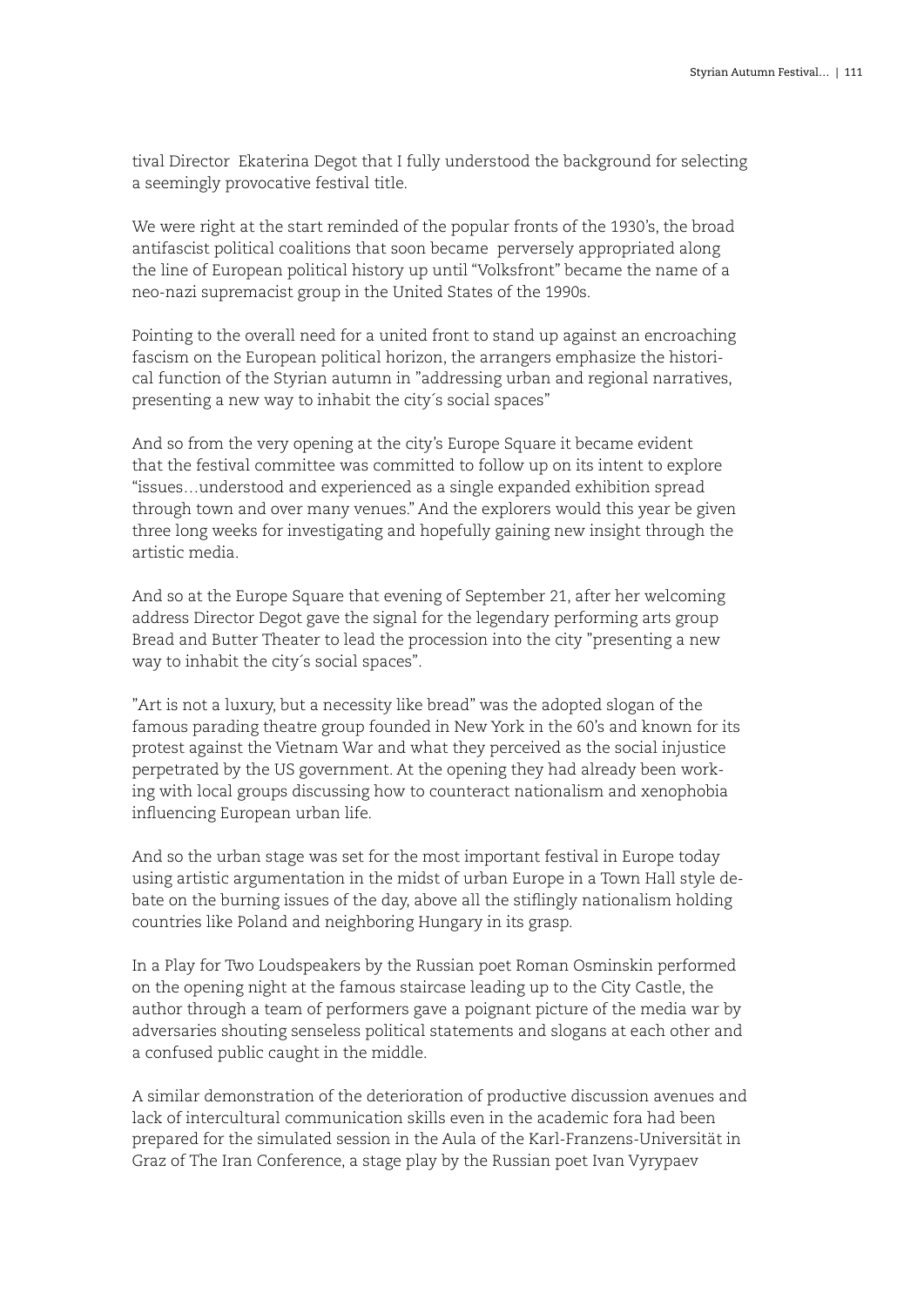tival Director Ekaterina Degot that I fully understood the background for selecting a seemingly provocative festival title.

We were right at the start reminded of the popular fronts of the 1930's, the broad antifascist political coalitions that soon became perversely appropriated along the line of European political history up until "Volksfront" became the name of a neo-nazi supremacist group in the United States of the 1990s.

Pointing to the overall need for a united front to stand up against an encroaching fascism on the European political horizon, the arrangers emphasize the historical function of the Styrian autumn in "addressing urban and regional narratives, presenting a new way to inhabit the city´s social spaces"

And so from the very opening at the city's Europe Square it became evident that the festival committee was committed to follow up on its intent to explore "issues…understood and experienced as a single expanded exhibition spread through town and over many venues." And the explorers would this year be given three long weeks for investigating and hopefully gaining new insight through the artistic media.

And so at the Europe Square that evening of September 21, after her welcoming address Director Degot gave the signal for the legendary performing arts group Bread and Butter Theater to lead the procession into the city "presenting a new way to inhabit the city´s social spaces".

"Art is not a luxury, but a necessity like bread" was the adopted slogan of the famous parading theatre group founded in New York in the 60's and known for its protest against the Vietnam War and what they perceived as the social injustice perpetrated by the US government. At the opening they had already been working with local groups discussing how to counteract nationalism and xenophobia influencing European urban life.

And so the urban stage was set for the most important festival in Europe today using artistic argumentation in the midst of urban Europe in a Town Hall style debate on the burning issues of the day, above all the stiflingly nationalism holding countries like Poland and neighboring Hungary in its grasp.

In a Play for Two Loudspeakers by the Russian poet Roman Osminskin performed on the opening night at the famous staircase leading up to the City Castle, the author through a team of performers gave a poignant picture of the media war by adversaries shouting senseless political statements and slogans at each other and a confused public caught in the middle.

A similar demonstration of the deterioration of productive discussion avenues and lack of intercultural communication skills even in the academic fora had been prepared for the simulated session in the Aula of the Karl-Franzens-Universität in Graz of The Iran Conference, a stage play by the Russian poet Ivan Vyrypaev